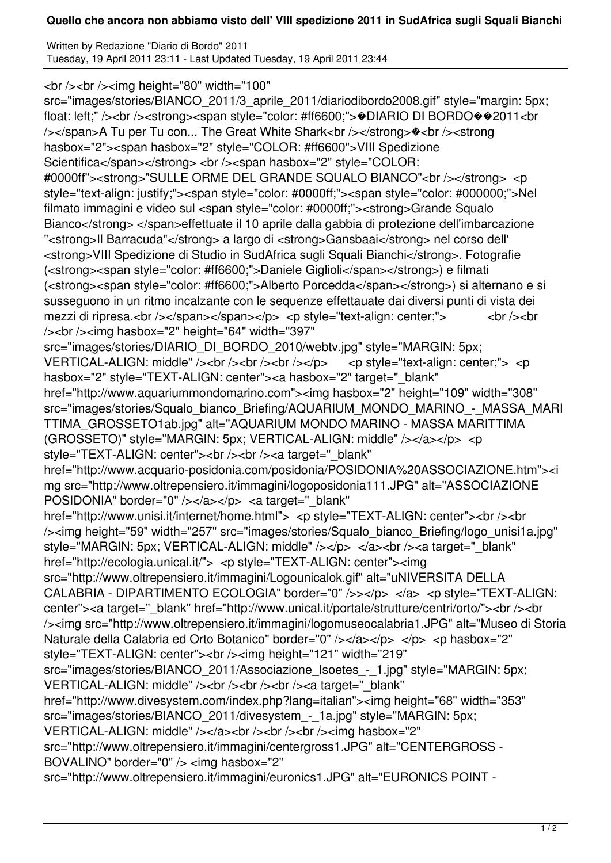## **Quello che ancora non abbiamo visto dell' VIII spedizione 2011 in SudAfrica sugli Squali Bianchi**

Written by Redazione "Diario di Bordo" 2011 Tuesday, 19 April 2011 23:11 - Last Updated Tuesday, 19 April 2011 23:44

<br /><br /><img height="80" width="100"

src="images/stories/BIANCO\_2011/3\_aprile\_2011/diariodibordo2008.gif" style="margin: 5px; float: left;" /><br />> /><strong><span style="color: #ff6600;">
+DIARIO DI BORDO
+2011<br />
+0011<br />
+0011<br />
+0012011<br />
+0012011<br />
+0012011<br />
+0012011<br />
+0012011<br />
+0012011<br />
+0012011<br /> />>/span>A Tu per Tu con... The Great White Shark<br />>/strong><br />>>/strong</>ng hasbox="2"><span hasbox="2" style="COLOR: #ff6600">VIII Spedizione Scientifica</span></strong> <br />>> /><span hasbox="2" style="COLOR: #0000ff"><strong>"SULLE ORME DEL GRANDE SQUALO BIANCO"<br />>/>></strong> <p style="text-align: justify;"><span style="color: #0000ff;"><span style="color: #000000;">Nel filmato immagini e video sul <span style="color: #0000ff;"><strong>Grande Squalo Bianco</strong> </span>effettuate il 10 aprile dalla gabbia di protezione dell'imbarcazione "<strong>Il Barracuda"</strong> a largo di <strong>Gansbaai</strong> nel corso dell' <strong>VIII Spedizione di Studio in SudAfrica sugli Squali Bianchi</strong>. Fotografie (<strong><span style="color: #ff6600;">Daniele Giglioli</span></strong>) e filmati (<strong><span style="color: #ff6600;">Alberto Porcedda</span></strong>) si alternano e si susseguono in un ritmo incalzante con le sequenze effettauate dai diversi punti di vista dei mezzi di ripresa.<br />>/>></span></span></p> <p style="text-align: center;"> <br />><br />><br />></br /> /><br /><img hasbox="2" height="64" width="397" src="images/stories/DIARIO\_DI\_BORDO\_2010/webtv.jpg" style="MARGIN: 5px; VERTICAL-ALIGN: middle" /> < br />> < br />> < br /> < br /> < pstyle="text-align: center;"> < p< p hasbox="2" style="TEXT-ALIGN: center"><a hasbox="2" target=" blank" href="http://www.aquariummondomarino.com"><img hasbox="2" height="109" width="308" src="images/stories/Squalo\_bianco\_Briefing/AQUARIUM\_MONDO\_MARINO\_-\_MASSA\_MARI TTIMA\_GROSSETO1ab.jpg" alt="AQUARIUM MONDO MARINO - MASSA MARITTIMA (GROSSETO)" style="MARGIN: 5px; VERTICAL-ALIGN: middle" /></a></p> <p style="TEXT-ALIGN: center"><br />>/>><br />>><a target="\_blank" href="http://www.acquario-posidonia.com/posidonia/POSIDONIA%20ASSOCIAZIONE.htm"><i mg src="http://www.oltrepensiero.it/immagini/logoposidonia111.JPG" alt="ASSOCIAZIONE POSIDONIA" border="0" /></a></p> <a target=" blank" href="http://www.unisi.it/internet/home.html"> <p style="TEXT-ALIGN: center"><br />>/> /><img height="59" width="257" src="images/stories/Squalo\_bianco\_Briefing/logo\_unisi1a.jpg" style="MARGIN: 5px; VERTICAL-ALIGN: middle" /></p> </a> </a><br />>/>><a target=" blank" href="http://ecologia.unical.it/"> <p style="TEXT-ALIGN: center"><img src="http://www.oltrepensiero.it/immagini/Logounicalok.gif" alt="uNIVERSITA DELLA CALABRIA - DIPARTIMENTO ECOLOGIA" border="0" />></p> </a> <p style="TEXT-ALIGN: center"><a target="\_blank" href="http://www.unical.it/portale/strutture/centri/orto/"><br />>/> /><img src="http://www.oltrepensiero.it/immagini/logomuseocalabria1.JPG" alt="Museo di Storia Naturale della Calabria ed Orto Botanico" border="0" /></a></p> </p> </p> <p hasbox="2" style="TEXT-ALIGN: center"><br /><img height="121" width="219" src="images/stories/BIANCO\_2011/Associazione\_Isoetes\_-\_1.jpg" style="MARGIN: 5px; VERTICAL-ALIGN: middle" /><br />>/>><br />>/>/><br />>/>><a target="\_blank" href="http://www.divesystem.com/index.php?lang=italian"><img height="68" width="353" src="images/stories/BIANCO\_2011/divesystem\_-\_1a.jpg" style="MARGIN: 5px; VERTICAL-ALIGN: middle" /></a> </br />> />><br />>/> </br />><img hasbox="2" src="http://www.oltrepensiero.it/immagini/centergross1.JPG" alt="CENTERGROSS - BOVALINO" border="0" /> <img hasbox="2" src="http://www.oltrepensiero.it/immagini/euronics1.JPG" alt="EURONICS POINT -